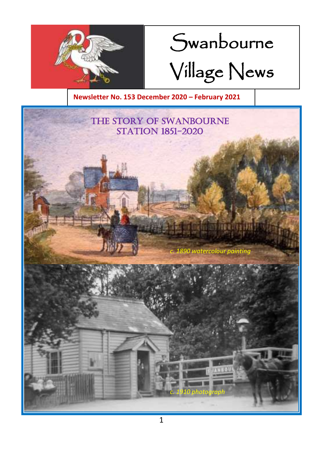

# Swanbourne Village News

**Newsletter No. 153 December 2020 – February 2021**

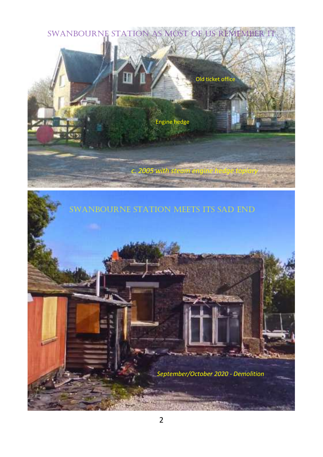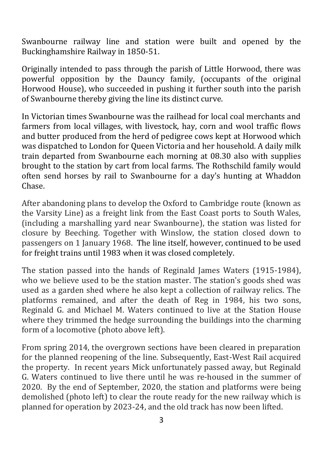Swanbourne railway line and station were built and opened by the Buckinghamshire Railway in 1850-51.

Originally intended to pass through the parish of Little Horwood, there was powerful opposition by the Dauncy family, (occupants of the original Horwood House), who succeeded in pushing it further south into the parish of Swanbourne thereby giving the line its distinct curve.

In Victorian times Swanbourne was the railhead for local coal merchants and farmers from local villages, with livestock, hay, corn and wool traffic flows and butter produced from the herd of pedigree cows kept at Horwood which was dispatched to London for Queen Victoria and her household. A daily milk train departed from Swanbourne each morning at 08.30 also with supplies brought to the station by cart from local farms. The Rothschild family would often send horses by rail to Swanbourne for a day's hunting at Whaddon Chase.

After abandoning plans to develop the Oxford to Cambridge route (known as the Varsity Line) as a freight link from the East Coast ports to South Wales, (including a marshalling yard near Swanbourne), the station was listed for closure by Beeching. Together with Winslow, the station closed down to passengers on 1 January 1968. The line itself, however, continued to be used for freight trains until 1983 when it was closed completely.

The station passed into the hands of Reginald James Waters (1915-1984), who we believe used to be the station master. The station's goods shed was used as a garden shed where he also kept a collection of railway relics. The platforms remained, and after the death of Reg in 1984, his two sons, Reginald G. and Michael M. Waters continued to live at the Station House where they trimmed the hedge surrounding the buildings into the charming form of a locomotive (photo above left).

From spring 2014, the overgrown sections have been cleared in preparation for the planned reopening of the line. Subsequently, East-West Rail acquired the property. In recent years Mick unfortunately passed away, but Reginald G. Waters continued to live there until he was re-housed in the summer of 2020. By the end of September, 2020, the station and platforms were being demolished (photo left) to clear the route ready for the new railway which is planned for operation by 2023-24, and the old track has now been lifted.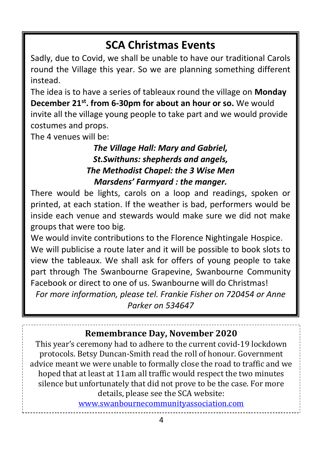## **SCA Christmas Events**

Sadly, due to Covid, we shall be unable to have our traditional Carols round the Village this year. So we are planning something different instead.

The idea is to have a series of tableaux round the village on **Monday December 21st. from 6-30pm for about an hour or so.** We would invite all the village young people to take part and we would provide costumes and props.

The 4 venues will be:

#### *The Village Hall: Mary and Gabriel, St.Swithuns: shepherds and angels, The Methodist Chapel: the 3 Wise Men Marsdens' Farmyard : the manger.*

There would be lights, carols on a loop and readings, spoken or printed, at each station. If the weather is bad, performers would be inside each venue and stewards would make sure we did not make groups that were too big.

We would invite contributions to the Florence Nightingale Hospice. We will publicise a route later and it will be possible to book slots to view the tableaux. We shall ask for offers of young people to take part through The Swanbourne Grapevine, Swanbourne Community Facebook or direct to one of us. Swanbourne will do Christmas! *For more information, please tel. Frankie Fisher on 720454 or Anne Parker on 534647*

**Remembrance Day, November 2020**

This year's ceremony had to adhere to the current covid-19 lockdown protocols. Betsy Duncan-Smith read the roll of honour. Government advice meant we were unable to formally close the road to traffic and we hoped that at least at 11am all traffic would respect the two minutes silence but unfortunately that did not prove to be the case. For more details, please see the SCA website:

[www.swanbournecommunityassociation.com](http://www.swanbournecommunityassociation.com/)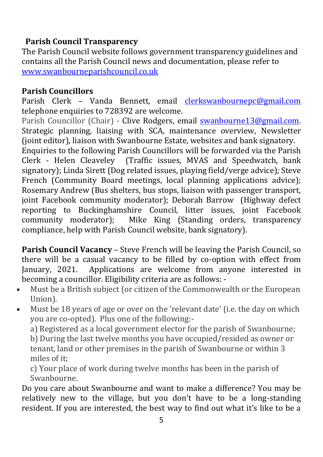#### **Parish Council Transparency**

The Parish Council website follows government transparency guidelines and contains all the Parish Council news and documentation, please refer to [www.swanbourneparishcouncil.co.uk](http://www.swanbourneparishcouncil.co.uk/)

#### **Parish Councillors**

Parish Clerk – Vanda Bennett, email [clerkswanbournepc@gmail.com](mailto:clerkswanbournepc@gmail.com) telephone enquiries to 728392 are welcome.

Parish Councillor (Chair) - Clive Rodgers, email **swanbourne13@gmail.com**. Strategic planning, liaising with SCA, maintenance overview, Newsletter (joint editor), liaison with Swanbourne Estate, websites and bank signatory.

Enquiries to the following Parish Councillors will be forwarded via the Parish Clerk - Helen Cleaveley (Traffic issues, MVAS and Speedwatch, bank signatory); Linda Sirett (Dog related issues, playing field/verge advice)*;* Steve French (Community Board meetings, local planning applications advice); Rosemary Andrew (Bus shelters, bus stops, liaison with passenger transport, joint Facebook community moderator); Deborah Barrow (Highway defect reporting to Buckinghamshire Council, litter issues, joint Facebook community moderator); Mike King (Standing orders, transparency compliance, help with Parish Council website, bank signatory).

**Parish Council Vacancy** – Steve French will be leaving the Parish Council, so there will be a casual vacancy to be filled by co-option with effect from January, 2021. Applications are welcome from anyone interested in becoming a councillor. Eligibility criteria are as follows: -

- Must be a British subject (or citizen of the Commonwealth or the European Union).
- Must be 18 years of age or over on the 'relevant date' (i.e. the day on which you are co-opted). Plus one of the following:-

a) Registered as a local government elector for the parish of Swanbourne;

b) During the last twelve months you have occupied/resided as owner or tenant, land or other premises in the parish of Swanbourne or within 3 miles of it;

c) Your place of work during twelve months has been in the parish of Swanbourne.

Do you care about Swanbourne and want to make a difference? You may be relatively new to the village, but you don't have to be a long-standing resident. If you are interested, the best way to find out what it's like to be a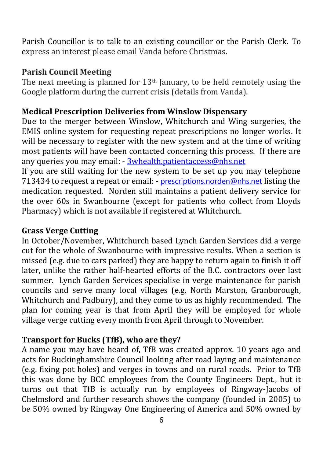Parish Councillor is to talk to an existing councillor or the Parish Clerk. To express an interest please email Vanda before Christmas.

#### **Parish Council Meeting**

The next meeting is planned for  $13<sup>th</sup>$  January, to be held remotely using the Google platform during the current crisis (details from Vanda).

#### **Medical Prescription Deliveries from Winslow Dispensary**

Due to the merger between Winslow, Whitchurch and Wing surgeries, the EMIS online system for requesting repeat prescriptions no longer works. It will be necessary to register with the new system and at the time of writing most patients will have been contacted concerning this process. If there are any queries you may email: - [3whealth.patientaccess@nhs.net](mailto:3whealth.patientaccess@nhs.net)

If you are still waiting for the new system to be set up you may telephone 713434 to request a repeat or email: - [prescriptions.norden@nhs.net](mailto:prescriptions.norden@nhs.net) listing the medication requested. Norden still maintains a patient delivery service for the over 60s in Swanbourne (except for patients who collect from Lloyds Pharmacy) which is not available if registered at Whitchurch.

#### **Grass Verge Cutting**

In October/November, Whitchurch based Lynch Garden Services did a verge cut for the whole of Swanbourne with impressive results. When a section is missed (e.g. due to cars parked) they are happy to return again to finish it off later, unlike the rather half-hearted efforts of the B.C. contractors over last summer. Lynch Garden Services specialise in verge maintenance for parish councils and serve many local villages (e.g. North Marston, Granborough, Whitchurch and Padbury), and they come to us as highly recommended. The plan for coming year is that from April they will be employed for whole village verge cutting every month from April through to November.

#### **Transport for Bucks (TfB), who are they?**

A name you may have heard of, TfB was created approx. 10 years ago and acts for Buckinghamshire Council looking after road laying and maintenance (e.g. fixing pot holes) and verges in towns and on rural roads. Prior to TfB this was done by BCC employees from the County Engineers Dept., but it turns out that TfB is actually run by employees of Ringway-Jacobs of Chelmsford and further research shows the company (founded in 2005) to be 50% owned by Ringway One Engineering of America and 50% owned by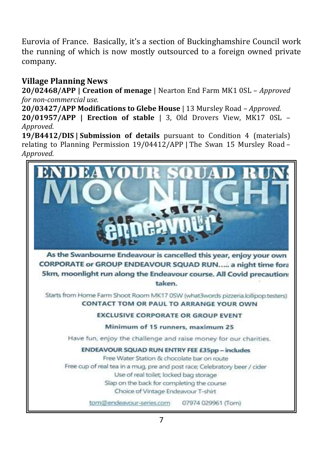Eurovia of France. Basically, it's a section of Buckinghamshire Council work the running of which is now mostly outsourced to a foreign owned private company.

#### **Village Planning News**

**20/02468/APP | Creation of menage** | Nearton End Farm MK1 0SL – *Approved for non-commercial use.*

**20/03427/APP Modifications to Glebe House** | 13 Mursley Road *– Approved.* **20/01957/APP | Erection of stable** | 3, Old Drovers View, MK17 0SL – *Approved.*

**19/B4412/DIS | Submission of details** pursuant to Condition 4 (materials) relating to Planning Permission 19/04412/APP | The Swan 15 Mursley Road – *Approved.*

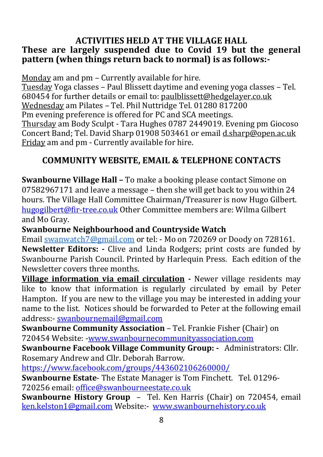#### **ACTIVITIES HELD AT THE VILLAGE HALL These are largely suspended due to Covid 19 but the general pattern (when things return back to normal) is as follows:-**

Monday am and pm – Currently available for hire. Tuesday Yoga classes – Paul Blissett daytime and evening yoga classes – Tel. 680454 for further details or email to[: paulblissett@hedgelayer.co.uk](mailto:paulblissett@hedgelayer.co.uk) Wednesday am Pilates – Tel. Phil Nuttridge Tel. 01280 817200 Pm evening preference is offered for PC and SCA meetings. Thursday am Body Sculpt - Tara Hughes 0787 2449019. Evening pm Giocoso Concert Band; Tel. David Sharp 01908 503461 or emai[l d.sharp@open.ac.uk](mailto:d.sharp@open.ac.uk) Friday am and pm - Currently available for hire.

#### **COMMUNITY WEBSITE, EMAIL & TELEPHONE CONTACTS**

**Swanbourne Village Hall –** To make a booking please contact Simone on 07582967171 and leave a message – then she will get back to you within 24 hours. The Village Hall Committee Chairman/Treasurer is now Hugo Gilbert. [hugogilbert@fir-tree.co.uk](mailto:hugogilbert@fir-tree.co.uk) Other Committee members are: Wilma Gilbert and Mo Gray.

**Swanbourne Neighbourhood and Countryside Watch**

Email [swanwatch7@gmail.com](mailto:swanwatch7@gmail.com) or tel: - Mo on 720269 or Doody on 728161. **Newsletter Editors: -** Clive and Linda Rodgers; print costs are funded by Swanbourne Parish Council. Printed by Harlequin Press. Each edition of the Newsletter covers three months.

**Village information via email circulation** *-* Newer village residents may like to know that information is regularly circulated by email by Peter Hampton. If you are new to the village you may be interested in adding your name to the list. Notices should be forwarded to Peter at the following email address:- [swanbournemail@gmail.com](mailto:swanbournemail@gmail.com)

**Swanbourne Community Association** – Tel. Frankie Fisher (Chair) on 720454 Website: [-www.swanbournecommunityassociation.com](http://www.swanbournecommunityassociation.com/)

**Swanbourne Facebook Village Community Group: -** Administrators: Cllr. Rosemary Andrew and Cllr. Deborah Barrow.

<https://www.facebook.com/groups/443602106260000/> **Swanbourne Estate**- The Estate Manager is Tom Finchett. Tel. 01296-

720256 email[: office@swanbourneestate.co.uk](mailto:office@swanbourneestate.co.uk)

**Swanbourne History Group** – Tel. Ken Harris (Chair) on 720454, email [ken.kelston1@gmail.com](mailto:ken.kelston1@gmail.com) Website:- [www.swanbournehistory.co.uk](http://www.swanbournehistory.co.uk/)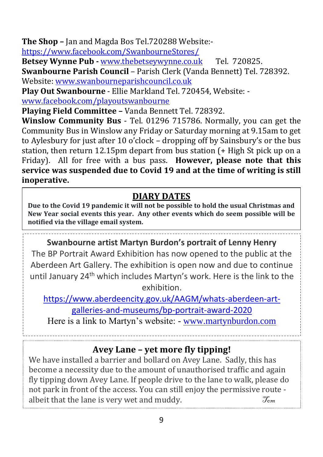**The Shop –** Jan and Magda Bos Tel.720288 Website:-

<https://www.facebook.com/SwanbourneStores/>

**Betsey Wynne Pub -** [www.thebetseywynne.co.uk](http://www.thebetseywynne.co.uk/) Tel. 720825.

**Swanbourne Parish Council** – Parish Clerk (Vanda Bennett) Tel. 728392. Website: [www.swanbourneparishcouncil.co.uk](http://www.swanbourneparishcouncil.co.uk/)

**Play Out Swanbourne** - Ellie Markland Tel. 720454, Website: [www.facebook.com/playoutswanbourne](http://www.facebook.com/playoutswanbourne)

**Playing Field Committee –** Vanda Bennett Tel. 728392.

**Winslow Community Bus** - Tel. 01296 715786. Normally, you can get the Community Bus in Winslow any Friday or Saturday morning at 9.15am to get to Aylesbury for just after 10 o'clock – dropping off by Sainsbury's or the bus station, then return 12.15pm depart from bus station (+ High St pick up on a Friday). All for free with a bus pass. **However, please note that this service was suspended due to Covid 19 and at the time of writing is still inoperative.**

#### **DIARY DATES**

**Due to the Covid 19 pandemic it will not be possible to hold the usual Christmas and New Year social events this year. Any other events which do seem possible will be notified via the village email system.**

**Swanbourne artist Martyn Burdon's portrait of Lenny Henry** The BP Portrait Award Exhibition has now opened to the public at the Aberdeen Art Gallery. The exhibition is open now and due to continue until January 24<sup>th</sup> which includes Martyn's work. Here is the link to the exhibition.

[https://www.aberdeencity.gov.uk/AAGM/whats-aberdeen-art-](https://www.aberdeencity.gov.uk/AAGM/whats-aberdeen-art-galleries-and-museums/bp-portrait-award-2020)

[galleries-and-museums/bp-portrait-award-2020](https://www.aberdeencity.gov.uk/AAGM/whats-aberdeen-art-galleries-and-museums/bp-portrait-award-2020)

Here is a link to Martyn's website: - [www.martynburdon.com](http://www.martynburdon.com/)

### **Avey Lane – yet more fly tipping!**

We have installed a barrier and bollard on Avey Lane. Sadly, this has become a necessity due to the amount of unauthorised traffic and again fly tipping down Avey Lane. If people drive to the lane to walk, please do not park in front of the access. You can still enjoy the permissive route albeit that the lane is very wet and muddy.  $\mathcal{T}_{\text{cm}}$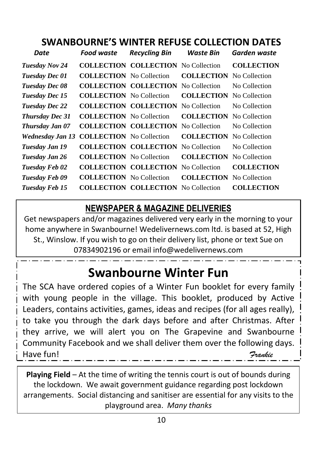### **SWANBOURNE'S WINTER REFUSE COLLECTION DATES**

| Date                    | <b>Food waste</b>               | <b>Recycling Bin</b>                       | Waste Bin                       | Garden waste      |
|-------------------------|---------------------------------|--------------------------------------------|---------------------------------|-------------------|
| Tuesday Nov 24          |                                 | <b>COLLECTION COLLECTION</b> No Collection |                                 | <b>COLLECTION</b> |
| Tuesday Dec 01          | <b>COLLECTION</b> No Collection |                                            | <b>COLLECTION</b>               | No Collection     |
| Tuesday Dec 08          |                                 | <b>COLLECTION COLLECTION</b> No Collection |                                 | No Collection     |
| Tuesday Dec 15          | <b>COLLECTION</b> No Collection |                                            | <b>COLLECTION</b>               | No Collection     |
| <b>Tuesday Dec 22</b>   |                                 | <b>COLLECTION COLLECTION</b> No Collection |                                 | No Collection     |
| <b>Thursday Dec 31</b>  | <b>COLLECTION</b> No Collection |                                            | <b>COLLECTION</b> No Collection |                   |
| Thursday Jan 07         |                                 | <b>COLLECTION COLLECTION</b> No Collection |                                 | No Collection     |
| <b>Wednesday Jan 13</b> | <b>COLLECTION</b> No Collection |                                            | <b>COLLECTION</b>               | No Collection     |
| Tuesday Jan 19          |                                 | <b>COLLECTION COLLECTION</b> No Collection |                                 | No Collection     |
| Tuesday Jan 26          | <b>COLLECTION</b> No Collection |                                            | <b>COLLECTION</b>               | No Collection     |
| Tuesday Feb 02          |                                 | <b>COLLECTION COLLECTION</b> No Collection |                                 | <b>COLLECTION</b> |
| Tuesday Feb 09          | <b>COLLECTION</b> No Collection |                                            | <b>COLLECTION</b> No Collection |                   |
| Tuesday Feb 15          |                                 | <b>COLLECTION COLLECTION</b> No Collection |                                 | <b>COLLECTION</b> |

#### **NEWSPAPER & MAGAZINE DELIVERIES**

Get newspapers and/or magazines delivered very early in the morning to your home anywhere in Swanbourne! Wedelivernews.com ltd. is based at 52, High St., Winslow. If you wish to go on their delivery list, phone or text Sue on 07834902196 or email info@wedelivernews.com

## **Swanbourne Winter Fun**

The SCA have ordered copies of a Winter Fun booklet for every family with young people in the village. This booklet, produced by Active Leaders, contains activities, games, ideas and recipes (for all ages really), to take you through the dark days before and after Christmas. After they arrive, we will alert you on The Grapevine and Swanbourne Community Facebook and we shall deliver them over the following days. Have fun! *Frankie*

**Playing Field** – At the time of writing the tennis court is out of bounds during the lockdown. We await government guidance regarding post lockdown arrangements. Social distancing and sanitiser are essential for any visits to the playground area. *Many thanks*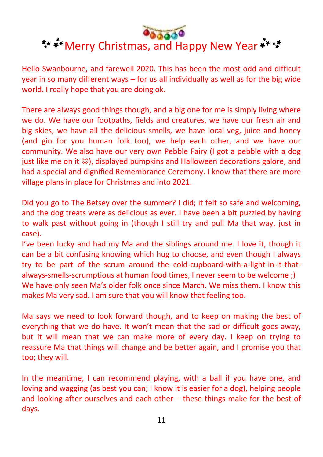# \*\* \* Merry Christmas, and Happy New Year \*\* \*\*

Hello Swanbourne, and farewell 2020. This has been the most odd and difficult year in so many different ways – for us all individually as well as for the big wide world. I really hope that you are doing ok.

There are always good things though, and a big one for me is simply living where we do. We have our footpaths, fields and creatures, we have our fresh air and big skies, we have all the delicious smells, we have local veg, juice and honey (and gin for you human folk too), we help each other, and we have our community. We also have our very own Pebble Fairy (I got a pebble with a dog just like me on it  $\circledcirc$ ), displayed pumpkins and Halloween decorations galore, and had a special and dignified Remembrance Ceremony. I know that there are more village plans in place for Christmas and into 2021.

Did you go to The Betsey over the summer? I did; it felt so safe and welcoming, and the dog treats were as delicious as ever. I have been a bit puzzled by having to walk past without going in (though I still try and pull Ma that way, just in case).

I've been lucky and had my Ma and the siblings around me. I love it, though it can be a bit confusing knowing which hug to choose, and even though I always try to be part of the scrum around the cold-cupboard-with-a-light-in-it-thatalways-smells-scrumptious at human food times, I never seem to be welcome ;) We have only seen Ma's older folk once since March. We miss them. I know this makes Ma very sad. I am sure that you will know that feeling too.

Ma says we need to look forward though, and to keep on making the best of everything that we do have. It won't mean that the sad or difficult goes away, but it will mean that we can make more of every day. I keep on trying to reassure Ma that things will change and be better again, and I promise you that too; they will.

In the meantime, I can recommend playing, with a ball if you have one, and loving and wagging (as best you can; I know it is easier for a dog), helping people and looking after ourselves and each other – these things make for the best of days.